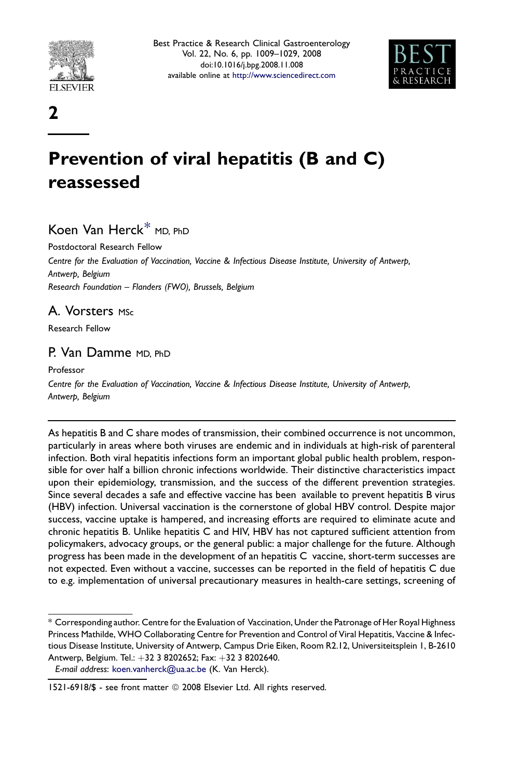

2



# Prevention of viral hepatitis (B and C) reassessed

# Koen Van Herck\* MD, PhD

Postdoctoral Research Fellow

Centre for the Evaluation of Vaccination, Vaccine & Infectious Disease Institute, University of Antwerp, Antwerp, Belgium Research Foundation – Flanders (FWO), Brussels, Belgium

A. Vorsters MSc

Research Fellow

# P. Van Damme MD, PhD

Professor

Centre for the Evaluation of Vaccination, Vaccine & Infectious Disease Institute, University of Antwerp, Antwerp, Belgium

As hepatitis B and C share modes of transmission, their combined occurrence is not uncommon, particularly in areas where both viruses are endemic and in individuals at high-risk of parenteral infection. Both viral hepatitis infections form an important global public health problem, responsible for over half a billion chronic infections worldwide. Their distinctive characteristics impact upon their epidemiology, transmission, and the success of the different prevention strategies. Since several decades a safe and effective vaccine has been available to prevent hepatitis B virus (HBV) infection. Universal vaccination is the cornerstone of global HBV control. Despite major success, vaccine uptake is hampered, and increasing efforts are required to eliminate acute and chronic hepatitis B. Unlike hepatitis C and HIV, HBV has not captured sufficient attention from policymakers, advocacy groups, or the general public: a major challenge for the future. Although progress has been made in the development of an hepatitis C vaccine, short-term successes are not expected. Even without a vaccine, successes can be reported in the field of hepatitis C due to e.g. implementation of universal precautionary measures in health-care settings, screening of

<sup>\*</sup> Corresponding author. Centre for the Evaluation of Vaccination, Under the Patronage of Her Royal Highness Princess Mathilde, WHO Collaborating Centre for Prevention and Control of Viral Hepatitis, Vaccine & Infectious Disease Institute, University of Antwerp, Campus Drie Eiken, Room R2.12, Universiteitsplein 1, B-2610 Antwerp, Belgium. Tel.:  $+32$  3 8202652; Fax:  $+32$  3 8202640.

E-mail address: [koen.vanherck@ua.ac.be](mailto:koen.vanherck@ua.ac.be) (K. Van Herck).

<sup>1521-6918/\$ -</sup> see front matter © 2008 Elsevier Ltd. All rights reserved.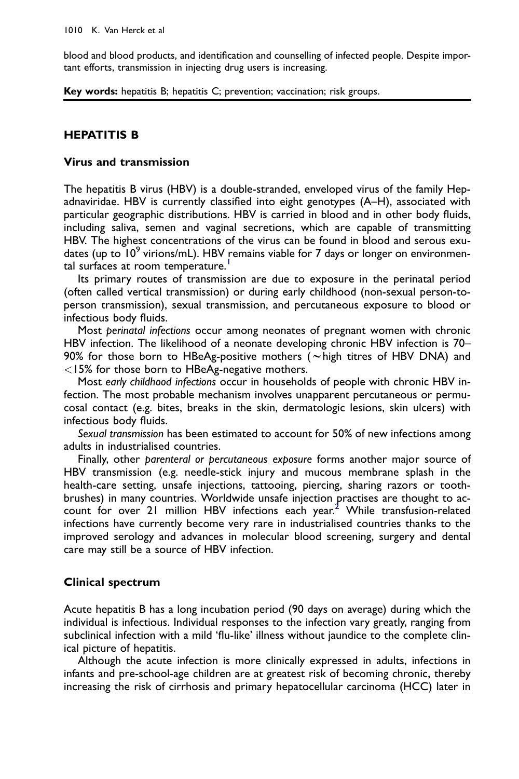blood and blood products, and identification and counselling of infected people. Despite important efforts, transmission in injecting drug users is increasing.

Key words: hepatitis B; hepatitis C; prevention; vaccination; risk groups.

# HEPATITIS B

#### Virus and transmission

The hepatitis B virus (HBV) is a double-stranded, enveloped virus of the family Hepadnaviridae. HBV is currently classified into eight genotypes (A–H), associated with particular geographic distributions. HBV is carried in blood and in other body fluids, including saliva, semen and vaginal secretions, which are capable of transmitting HBV. The highest concentrations of the virus can be found in blood and serous exudates (up to  $10^9$  virions/mL). HBV remains viable for 7 days or longer on environmen-tal surfaces at room temperature.<sup>[1](#page-17-0)</sup>

Its primary routes of transmission are due to exposure in the perinatal period (often called vertical transmission) or during early childhood (non-sexual person-toperson transmission), sexual transmission, and percutaneous exposure to blood or infectious body fluids.

Most perinatal infections occur among neonates of pregnant women with chronic HBV infection. The likelihood of a neonate developing chronic HBV infection is 70– 90% for those born to HBeAg-positive mothers ( $\sim$  high titres of HBV DNA) and <15% for those born to HBeAg-negative mothers.

Most early childhood infections occur in households of people with chronic HBV infection. The most probable mechanism involves unapparent percutaneous or permucosal contact (e.g. bites, breaks in the skin, dermatologic lesions, skin ulcers) with infectious body fluids.

Sexual transmission has been estimated to account for 50% of new infections among adults in industrialised countries.

Finally, other parenteral or percutaneous exposure forms another major source of HBV transmission (e.g. needle-stick injury and mucous membrane splash in the health-care setting, unsafe injections, tattooing, piercing, sharing razors or toothbrushes) in many countries. Worldwide unsafe injection practises are thought to account for over 21 million HBV infections each year.<sup>2</sup> While transfusion-related infections have currently become very rare in industrialised countries thanks to the improved serology and advances in molecular blood screening, surgery and dental care may still be a source of HBV infection.

#### Clinical spectrum

Acute hepatitis B has a long incubation period (90 days on average) during which the individual is infectious. Individual responses to the infection vary greatly, ranging from subclinical infection with a mild 'flu-like' illness without jaundice to the complete clinical picture of hepatitis.

Although the acute infection is more clinically expressed in adults, infections in infants and pre-school-age children are at greatest risk of becoming chronic, thereby increasing the risk of cirrhosis and primary hepatocellular carcinoma (HCC) later in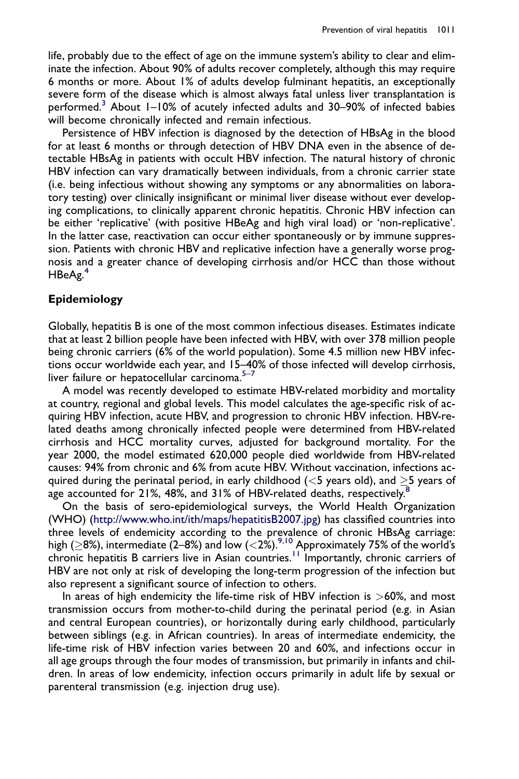life, probably due to the effect of age on the immune system's ability to clear and eliminate the infection. About 90% of adults recover completely, although this may require 6 months or more. About 1% of adults develop fulminant hepatitis, an exceptionally severe form of the disease which is almost always fatal unless liver transplantation is performed.<sup>[3](#page-17-0)</sup> About 1–10% of acutely infected adults and 30–90% of infected babies will become chronically infected and remain infectious.

Persistence of HBV infection is diagnosed by the detection of HBsAg in the blood for at least 6 months or through detection of HBV DNA even in the absence of detectable HBsAg in patients with occult HBV infection. The natural history of chronic HBV infection can vary dramatically between individuals, from a chronic carrier state (i.e. being infectious without showing any symptoms or any abnormalities on laboratory testing) over clinically insignificant or minimal liver disease without ever developing complications, to clinically apparent chronic hepatitis. Chronic HBV infection can be either 'replicative' (with positive HBeAg and high viral load) or 'non-replicative'. In the latter case, reactivation can occur either spontaneously or by immune suppression. Patients with chronic HBV and replicative infection have a generally worse prognosis and a greater chance of developing cirrhosis and/or HCC than those without HBeAg.<sup>[4](#page-17-0)</sup>

## Epidemiology

Globally, hepatitis B is one of the most common infectious diseases. Estimates indicate that at least 2 billion people have been infected with HBV, with over 378 million people being chronic carriers (6% of the world population). Some 4.5 million new HBV infections occur worldwide each year, and 15–40% of those infected will develop cirrhosis, liver failure or hepatocellular carcinoma.<sup>5-7</sup>

A model was recently developed to estimate HBV-related morbidity and mortality at country, regional and global levels. This model calculates the age-specific risk of acquiring HBV infection, acute HBV, and progression to chronic HBV infection. HBV-related deaths among chronically infected people were determined from HBV-related cirrhosis and HCC mortality curves, adjusted for background mortality. For the year 2000, the model estimated 620,000 people died worldwide from HBV-related causes: 94% from chronic and 6% from acute HBV. Without vaccination, infections acquired during the perinatal period, in early childhood ( $<$ 5 years old), and  $\geq$ 5 years of age accounted for 21%, 48%, and 31% of HBV-related deaths, respectively.<sup>8</sup>

On the basis of sero-epidemiological surveys, the World Health Organization (WHO) (<http://www.who.int/ith/maps/hepatitisB2007.jpg>) has classified countries into three levels of endemicity according to the prevalence of chronic HBsAg carriage: high ( $\geq$ 8%), intermediate (2–8%) and low ( $<$ 2%). $^{9,10}$  $^{9,10}$  $^{9,10}$  Approximately 75% of the world's chronic hepatitis B carriers live in Asian countries.<sup>[11](#page-17-0)</sup> Importantly, chronic carriers of HBV are not only at risk of developing the long-term progression of the infection but also represent a significant source of infection to others.

In areas of high endemicity the life-time risk of HBV infection is  $>60\%$ , and most transmission occurs from mother-to-child during the perinatal period (e.g. in Asian and central European countries), or horizontally during early childhood, particularly between siblings (e.g. in African countries). In areas of intermediate endemicity, the life-time risk of HBV infection varies between 20 and 60%, and infections occur in all age groups through the four modes of transmission, but primarily in infants and children. In areas of low endemicity, infection occurs primarily in adult life by sexual or parenteral transmission (e.g. injection drug use).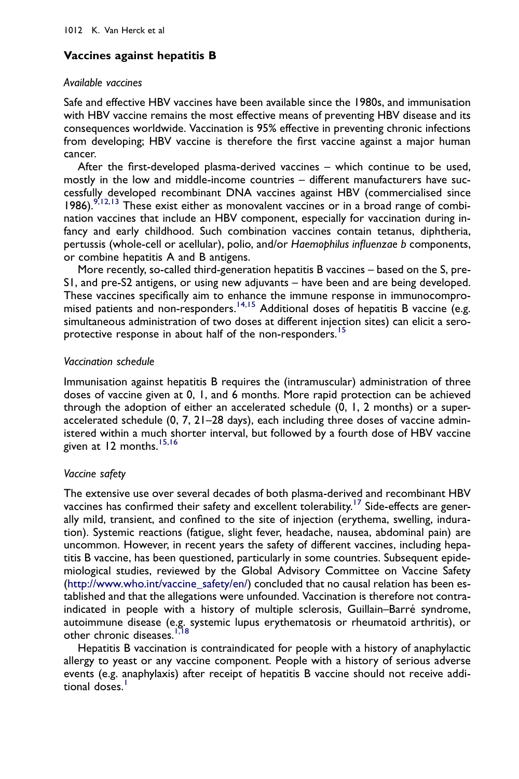# Vaccines against hepatitis B

#### Available vaccines

Safe and effective HBV vaccines have been available since the 1980s, and immunisation with HBV vaccine remains the most effective means of preventing HBV disease and its consequences worldwide. Vaccination is 95% effective in preventing chronic infections from developing; HBV vaccine is therefore the first vaccine against a major human cancer.

After the first-developed plasma-derived vaccines – which continue to be used, mostly in the low and middle-income countries – different manufacturers have successfully developed recombinant DNA vaccines against HBV (commercialised since 1986). $9/12,13$  These exist either as monovalent vaccines or in a broad range of combination vaccines that include an HBV component, especially for vaccination during infancy and early childhood. Such combination vaccines contain tetanus, diphtheria, pertussis (whole-cell or acellular), polio, and/or Haemophilus influenzae b components, or combine hepatitis A and B antigens.

More recently, so-called third-generation hepatitis B vaccines – based on the S, pre-S1, and pre-S2 antigens, or using new adjuvants – have been and are being developed. These vaccines specifically aim to enhance the immune response in immunocompromised patients and non-responders.<sup>14,15</sup> Additional doses of hepatitis B vaccine (e.g. simultaneous administration of two doses at different injection sites) can elicit a sero-protective response in about half of the non-responders.<sup>[15](#page-17-0)</sup>

## Vaccination schedule

Immunisation against hepatitis B requires the (intramuscular) administration of three doses of vaccine given at 0, 1, and 6 months. More rapid protection can be achieved through the adoption of either an accelerated schedule (0, 1, 2 months) or a superaccelerated schedule (0, 7, 21–28 days), each including three doses of vaccine administered within a much shorter interval, but followed by a fourth dose of HBV vaccine given at 12 months.<sup>[15,16](#page-17-0)</sup>

# Vaccine safety

The extensive use over several decades of both plasma-derived and recombinant HBV vaccines has confirmed their safety and excellent tolerability.<sup>17</sup> Side-effects are generally mild, transient, and confined to the site of injection (erythema, swelling, induration). Systemic reactions (fatigue, slight fever, headache, nausea, abdominal pain) are uncommon. However, in recent years the safety of different vaccines, including hepatitis B vaccine, has been questioned, particularly in some countries. Subsequent epidemiological studies, reviewed by the Global Advisory Committee on Vaccine Safety [\(http://www.who.int/vaccine\\_safety/en/\)](http://www.who.int/vaccine_safety/en) concluded that no causal relation has been established and that the allegations were unfounded. Vaccination is therefore not contraindicated in people with a history of multiple sclerosis, Guillain–Barré syndrome, autoimmune disease (e.g. systemic lupus erythematosis or rheumatoid arthritis), or<br>other chronic diseases <sup>1,18</sup> other chronic diseases.<sup>1</sup>

Hepatitis B vaccination is contraindicated for people with a history of anaphylactic allergy to yeast or any vaccine component. People with a history of serious adverse events (e.g. anaphylaxis) after receipt of hepatitis B vaccine should not receive addi-tional doses.<sup>[1](#page-17-0)</sup>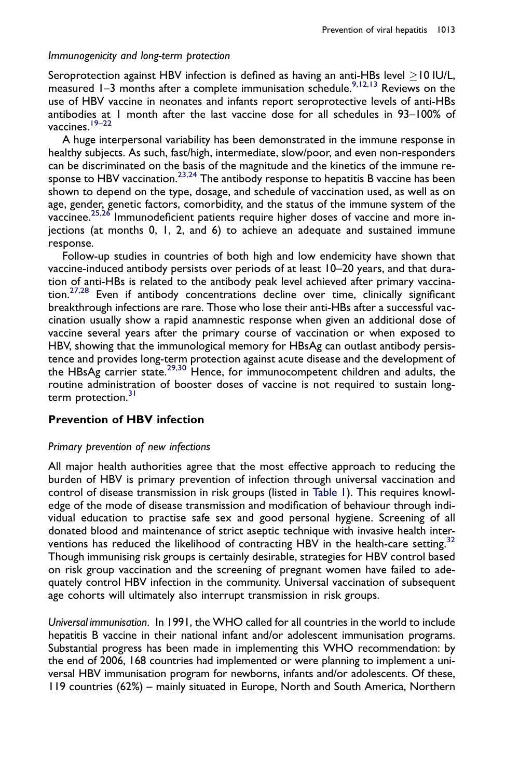#### Immunogenicity and long-term protection

Seroprotection against HBV infection is defined as having an anti-HBs level  $\geq$ 10 IU/L, measured  $1-3$  months after a complete immunisation schedule.<sup>[9,12,13](#page-17-0)</sup> Reviews on the use of HBV vaccine in neonates and infants report seroprotective levels of anti-HBs antibodies at 1 month after the last vaccine dose for all schedules in 93–100% of vaccines.<sup>[19–22](#page-18-0)</sup>

A huge interpersonal variability has been demonstrated in the immune response in healthy subjects. As such, fast/high, intermediate, slow/poor, and even non-responders can be discriminated on the basis of the magnitude and the kinetics of the immune re-sponse to HBV vaccination.<sup>[23,24](#page-18-0)</sup> The antibody response to hepatitis B vaccine has been shown to depend on the type, dosage, and schedule of vaccination used, as well as on age, gender, genetic factors, comorbidity, and the status of the immune system of the vaccinee.<sup>[25,26](#page-18-0)</sup> Immunodeficient patients require higher doses of vaccine and more injections (at months 0, 1, 2, and 6) to achieve an adequate and sustained immune response.

Follow-up studies in countries of both high and low endemicity have shown that vaccine-induced antibody persists over periods of at least 10–20 years, and that duration of anti-HBs is related to the antibody peak level achieved after primary vaccina-tion.<sup>[27,28](#page-18-0)</sup> Even if antibody concentrations decline over time, clinically significant breakthrough infections are rare. Those who lose their anti-HBs after a successful vaccination usually show a rapid anamnestic response when given an additional dose of vaccine several years after the primary course of vaccination or when exposed to HBV, showing that the immunological memory for HBsAg can outlast antibody persistence and provides long-term protection against acute disease and the development of the HBsAg carrier state.<sup>[29,30](#page-18-0)</sup> Hence, for immunocompetent children and adults, the routine administration of booster doses of vaccine is not required to sustain longterm protection.<sup>31</sup>

# Prevention of HBV infection

#### Primary prevention of new infections

All major health authorities agree that the most effective approach to reducing the burden of HBV is primary prevention of infection through universal vaccination and control of disease transmission in risk groups (listed in [Table 1](#page-5-0)). This requires knowledge of the mode of disease transmission and modification of behaviour through individual education to practise safe sex and good personal hygiene. Screening of all donated blood and maintenance of strict aseptic technique with invasive health inter-ventions has reduced the likelihood of contracting HBV in the health-care setting.<sup>[32](#page-18-0)</sup> Though immunising risk groups is certainly desirable, strategies for HBV control based on risk group vaccination and the screening of pregnant women have failed to adequately control HBV infection in the community. Universal vaccination of subsequent age cohorts will ultimately also interrupt transmission in risk groups.

Universal immunisation. In 1991, the WHO called for all countries in the world to include hepatitis B vaccine in their national infant and/or adolescent immunisation programs. Substantial progress has been made in implementing this WHO recommendation: by the end of 2006, 168 countries had implemented or were planning to implement a universal HBV immunisation program for newborns, infants and/or adolescents. Of these, 119 countries (62%) – mainly situated in Europe, North and South America, Northern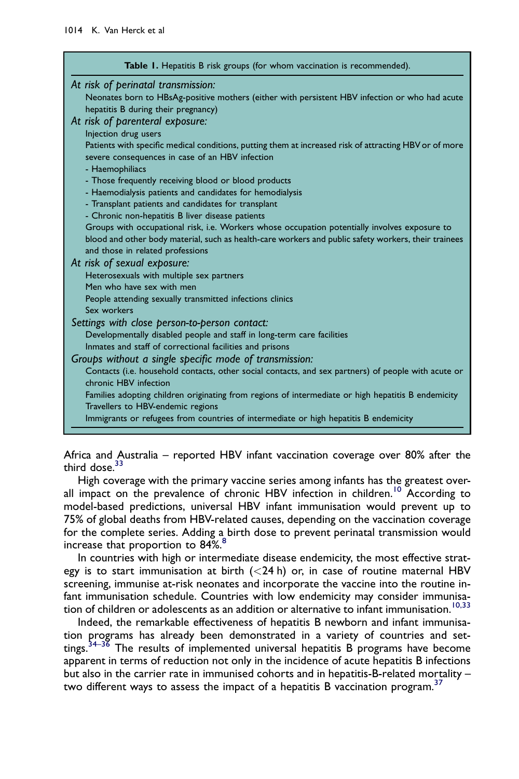<span id="page-5-0"></span>

| <b>Table 1.</b> Hepatitis B risk groups (for whom vaccination is recommended).                         |  |
|--------------------------------------------------------------------------------------------------------|--|
| At risk of perinatal transmission:                                                                     |  |
| Neonates born to HBsAg-positive mothers (either with persistent HBV infection or who had acute         |  |
| hepatitis B during their pregnancy)                                                                    |  |
| At risk of parenteral exposure:                                                                        |  |
| Injection drug users                                                                                   |  |
| Patients with specific medical conditions, putting them at increased risk of attracting HBV or of more |  |
| severe consequences in case of an HBV infection                                                        |  |
| - Haemophiliacs                                                                                        |  |
| - Those frequently receiving blood or blood products                                                   |  |
| - Haemodialysis patients and candidates for hemodialysis                                               |  |
| - Transplant patients and candidates for transplant                                                    |  |
| - Chronic non-hepatitis B liver disease patients                                                       |  |
| Groups with occupational risk, i.e. Workers whose occupation potentially involves exposure to          |  |
| blood and other body material, such as health-care workers and public safety workers, their trainees   |  |
| and those in related professions                                                                       |  |
| At risk of sexual exposure:                                                                            |  |
| Heterosexuals with multiple sex partners                                                               |  |
| Men who have sex with men                                                                              |  |
| People attending sexually transmitted infections clinics                                               |  |
| Sex workers                                                                                            |  |
| Settings with close person-to-person contact:                                                          |  |
| Developmentally disabled people and staff in long-term care facilities                                 |  |
| Inmates and staff of correctional facilities and prisons                                               |  |
| Groups without a single specific mode of transmission:                                                 |  |
| Contacts (i.e. household contacts, other social contacts, and sex partners) of people with acute or    |  |
| chronic HBV infection                                                                                  |  |
| Families adopting children originating from regions of intermediate or high hepatitis B endemicity     |  |
| Travellers to HBV-endemic regions                                                                      |  |
| Immigrants or refugees from countries of intermediate or high hepatitis B endemicity                   |  |
|                                                                                                        |  |

Africa and Australia – reported HBV infant vaccination coverage over 80% after the third dose.<sup>[33](#page-18-0)</sup>

High coverage with the primary vaccine series among infants has the greatest over-all impact on the prevalence of chronic HBV infection in children.<sup>[10](#page-17-0)</sup> According to model-based predictions, universal HBV infant immunisation would prevent up to 75% of global deaths from HBV-related causes, depending on the vaccination coverage for the complete series. Adding a birth dose to prevent perinatal transmission would increase that proportion to  $84\%$  $84\%$ <sup>8</sup>

In countries with high or intermediate disease endemicity, the most effective strategy is to start immunisation at birth  $(<24 h)$  or, in case of routine maternal HBV screening, immunise at-risk neonates and incorporate the vaccine into the routine infant immunisation schedule. Countries with low endemicity may consider immunisa-tion of children or adolescents as an addition or alternative to infant immunisation.<sup>[10,33](#page-17-0)</sup>

Indeed, the remarkable effectiveness of hepatitis B newborn and infant immunisation programs has already been demonstrated in a variety of countries and set-tings.<sup>[34–36](#page-18-0)</sup> The results of implemented universal hepatitis B programs have become apparent in terms of reduction not only in the incidence of acute hepatitis B infections but also in the carrier rate in immunised cohorts and in hepatitis-B-related mortality – two different ways to assess the impact of a hepatitis B vaccination program.<sup>[37](#page-18-0)</sup>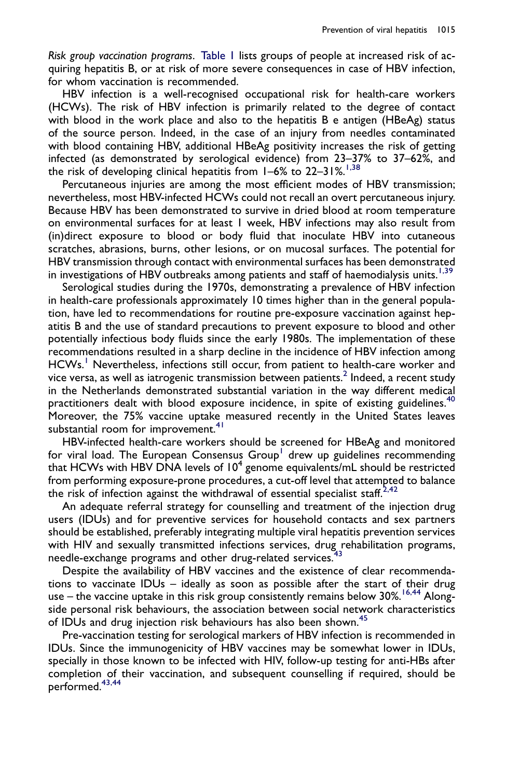Risk group vaccination programs. [Table 1](#page-5-0) lists groups of people at increased risk of acquiring hepatitis B, or at risk of more severe consequences in case of HBV infection, for whom vaccination is recommended.

HBV infection is a well-recognised occupational risk for health-care workers (HCWs). The risk of HBV infection is primarily related to the degree of contact with blood in the work place and also to the hepatitis B e antigen (HBeAg) status of the source person. Indeed, in the case of an injury from needles contaminated with blood containing HBV, additional HBeAg positivity increases the risk of getting infected (as demonstrated by serological evidence) from 23–37% to 37–62%, and the risk of developing clinical hepatitis from  $1-6\%$  to 22-31%.<sup>[1,38](#page-17-0)</sup>

Percutaneous injuries are among the most efficient modes of HBV transmission; nevertheless, most HBV-infected HCWs could not recall an overt percutaneous injury. Because HBV has been demonstrated to survive in dried blood at room temperature on environmental surfaces for at least 1 week, HBV infections may also result from (in)direct exposure to blood or body fluid that inoculate HBV into cutaneous scratches, abrasions, burns, other lesions, or on mucosal surfaces. The potential for HBV transmission through contact with environmental surfaces has been demonstrated in investigations of HBV outbreaks among patients and staff of haemodialysis units.<sup>[1,39](#page-17-0)</sup>

Serological studies during the 1970s, demonstrating a prevalence of HBV infection in health-care professionals approximately 10 times higher than in the general population, have led to recommendations for routine pre-exposure vaccination against hepatitis B and the use of standard precautions to prevent exposure to blood and other potentially infectious body fluids since the early 1980s. The implementation of these recommendations resulted in a sharp decline in the incidence of HBV infection among HCWs.<sup>[1](#page-17-0)</sup> Nevertheless, infections still occur, from patient to health-care worker and vice versa, as well as iatrogenic transmission between patients.<sup>[2](#page-17-0)</sup> Indeed, a recent study in the Netherlands demonstrated substantial variation in the way different medical practitioners dealt with blood exposure incidence, in spite of existing guidelines.<sup>40</sup> Moreover, the 75% vaccine uptake measured recently in the United States leaves substantial room for improvement.<sup>[41](#page-18-0)</sup>

HBV-infected health-care workers should be screened for HBeAg and monitored for viral load. The European Consensus Group<sup>[1](#page-17-0)</sup> drew up guidelines recommending that HCWs with HBV DNA levels of  $10^4$  genome equivalents/mL should be restricted from performing exposure-prone procedures, a cut-off level that attempted to balance the risk of infection against the withdrawal of essential specialist staff.<sup>[2,42](#page-17-0)</sup>

An adequate referral strategy for counselling and treatment of the injection drug users (IDUs) and for preventive services for household contacts and sex partners should be established, preferably integrating multiple viral hepatitis prevention services with HIV and sexually transmitted infections services, drug rehabilitation programs, needle-exchange programs and other drug-related services.<sup>4</sup>

Despite the availability of HBV vaccines and the existence of clear recommendations to vaccinate IDUs – ideally as soon as possible after the start of their drug use – the vaccine uptake in this risk group consistently remains below 30%.<sup>[16,44](#page-17-0)</sup> Alongside personal risk behaviours, the association between social network characteristics of IDUs and drug injection risk behaviours has also been shown.<sup>[45](#page-19-0)</sup>

Pre-vaccination testing for serological markers of HBV infection is recommended in IDUs. Since the immunogenicity of HBV vaccines may be somewhat lower in IDUs, specially in those known to be infected with HIV, follow-up testing for anti-HBs after completion of their vaccination, and subsequent counselling if required, should be performed.<sup>[43,44](#page-19-0)</sup>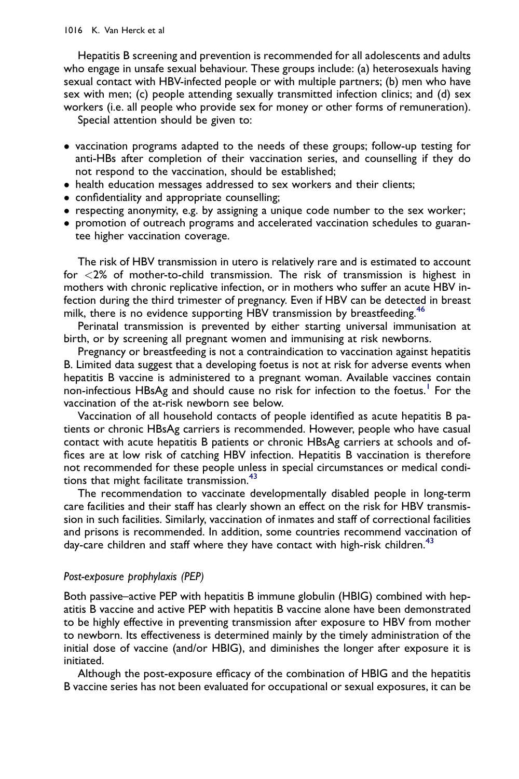Hepatitis B screening and prevention is recommended for all adolescents and adults who engage in unsafe sexual behaviour. These groups include: (a) heterosexuals having sexual contact with HBV-infected people or with multiple partners; (b) men who have sex with men; (c) people attending sexually transmitted infection clinics; and (d) sex workers (i.e. all people who provide sex for money or other forms of remuneration).

Special attention should be given to:

- vaccination programs adapted to the needs of these groups; follow-up testing for anti-HBs after completion of their vaccination series, and counselling if they do not respond to the vaccination, should be established;
- health education messages addressed to sex workers and their clients;
- confidentiality and appropriate counselling;
- respecting anonymity, e.g. by assigning a unique code number to the sex worker;
- promotion of outreach programs and accelerated vaccination schedules to guarantee higher vaccination coverage.

The risk of HBV transmission in utero is relatively rare and is estimated to account for <2% of mother-to-child transmission. The risk of transmission is highest in mothers with chronic replicative infection, or in mothers who suffer an acute HBV infection during the third trimester of pregnancy. Even if HBV can be detected in breast milk, there is no evidence supporting HBV transmission by breastfeeding.<sup>[46](#page-19-0)</sup>

Perinatal transmission is prevented by either starting universal immunisation at birth, or by screening all pregnant women and immunising at risk newborns.

Pregnancy or breastfeeding is not a contraindication to vaccination against hepatitis B. Limited data suggest that a developing foetus is not at risk for adverse events when hepatitis B vaccine is administered to a pregnant woman. Available vaccines contain non-infectious HBsAg and should cause no risk for infection to the foetus.<sup>[1](#page-17-0)</sup> For the vaccination of the at-risk newborn see below.

Vaccination of all household contacts of people identified as acute hepatitis B patients or chronic HBsAg carriers is recommended. However, people who have casual contact with acute hepatitis B patients or chronic HBsAg carriers at schools and offices are at low risk of catching HBV infection. Hepatitis B vaccination is therefore not recommended for these people unless in special circumstances or medical conditions that might facilitate transmission. $43$ 

The recommendation to vaccinate developmentally disabled people in long-term care facilities and their staff has clearly shown an effect on the risk for HBV transmission in such facilities. Similarly, vaccination of inmates and staff of correctional facilities and prisons is recommended. In addition, some countries recommend vaccination of day-care children and staff where they have contact with high-risk children.<sup>43</sup>

#### Post-exposure prophylaxis (PEP)

Both passive–active PEP with hepatitis B immune globulin (HBIG) combined with hepatitis B vaccine and active PEP with hepatitis B vaccine alone have been demonstrated to be highly effective in preventing transmission after exposure to HBV from mother to newborn. Its effectiveness is determined mainly by the timely administration of the initial dose of vaccine (and/or HBIG), and diminishes the longer after exposure it is initiated.

Although the post-exposure efficacy of the combination of HBIG and the hepatitis B vaccine series has not been evaluated for occupational or sexual exposures, it can be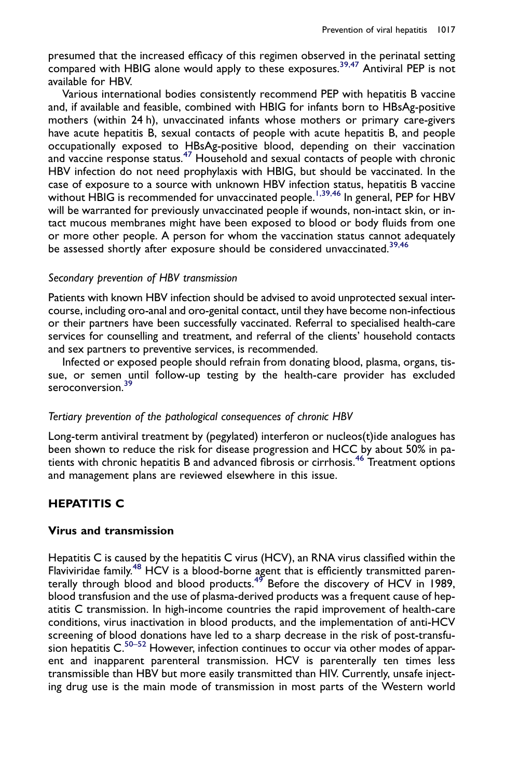presumed that the increased efficacy of this regimen observed in the perinatal setting compared with HBIG alone would apply to these exposures.[39,47](#page-18-0) Antiviral PEP is not available for HBV.

Various international bodies consistently recommend PEP with hepatitis B vaccine and, if available and feasible, combined with HBIG for infants born to HBsAg-positive mothers (within 24 h), unvaccinated infants whose mothers or primary care-givers have acute hepatitis B, sexual contacts of people with acute hepatitis B, and people occupationally exposed to HBsAg-positive blood, depending on their vaccination and vaccine response status.<sup>[47](#page-19-0)</sup> Household and sexual contacts of people with chronic HBV infection do not need prophylaxis with HBIG, but should be vaccinated. In the case of exposure to a source with unknown HBV infection status, hepatitis B vaccine without HBIG is recommended for unvaccinated people.<sup>[1,39,46](#page-17-0)</sup> In general, PEP for HBV will be warranted for previously unvaccinated people if wounds, non-intact skin, or intact mucous membranes might have been exposed to blood or body fluids from one or more other people. A person for whom the vaccination status cannot adequately be assessed shortly after exposure should be considered unvaccinated.<sup>[39,46](#page-18-0)</sup>

#### Secondary prevention of HBV transmission

Patients with known HBV infection should be advised to avoid unprotected sexual intercourse, including oro-anal and oro-genital contact, until they have become non-infectious or their partners have been successfully vaccinated. Referral to specialised health-care services for counselling and treatment, and referral of the clients' household contacts and sex partners to preventive services, is recommended.

Infected or exposed people should refrain from donating blood, plasma, organs, tissue, or semen until follow-up testing by the health-care provider has excluded seroconversion.<sup>39</sup>

#### Tertiary prevention of the pathological consequences of chronic HBV

Long-term antiviral treatment by (pegylated) interferon or nucleos(t)ide analogues has been shown to reduce the risk for disease progression and HCC by about 50% in patients with chronic hepatitis B and advanced fibrosis or cirrhosis.[46](#page-19-0) Treatment options and management plans are reviewed elsewhere in this issue.

#### HEPATITIS C

#### Virus and transmission

Hepatitis C is caused by the hepatitis C virus (HCV), an RNA virus classified within the Flaviviridae family.<sup>[48](#page-19-0)</sup> HCV is a blood-borne agent that is efficiently transmitted paren-terally through blood and blood products.<sup>[49](#page-19-0)</sup> Before the discovery of HCV in 1989, blood transfusion and the use of plasma-derived products was a frequent cause of hepatitis C transmission. In high-income countries the rapid improvement of health-care conditions, virus inactivation in blood products, and the implementation of anti-HCV screening of blood donations have led to a sharp decrease in the risk of post-transfusion hepatitis  $C_5^{50-52}$  However, infection continues to occur via other modes of apparent and inapparent parenteral transmission. HCV is parenterally ten times less transmissible than HBV but more easily transmitted than HIV. Currently, unsafe injecting drug use is the main mode of transmission in most parts of the Western world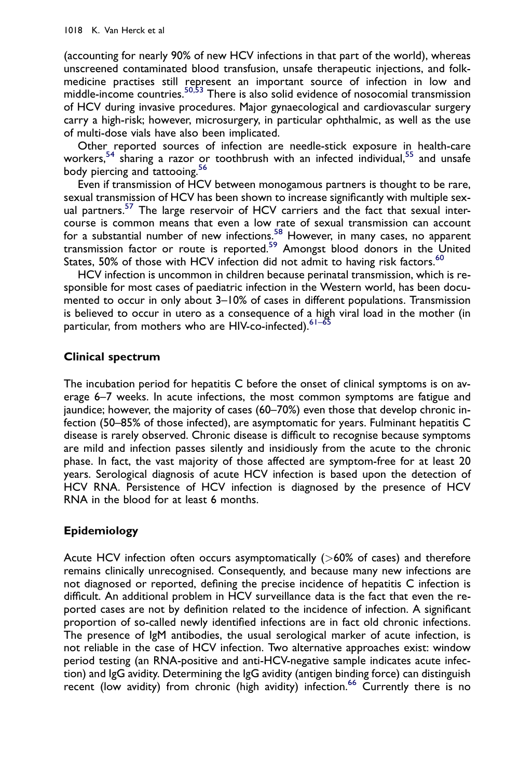(accounting for nearly 90% of new HCV infections in that part of the world), whereas unscreened contaminated blood transfusion, unsafe therapeutic injections, and folkmedicine practises still represent an important source of infection in low and modification processes that the income countries.<sup>[50,53](#page-19-0)</sup> There is also solid evidence of nosocomial transmission of HCV during invasive procedures. Major gynaecological and cardiovascular surgery carry a high-risk; however, microsurgery, in particular ophthalmic, as well as the use of multi-dose vials have also been implicated.

Other reported sources of infection are needle-stick exposure in health-care workers,  $54$  sharing a razor or toothbrush with an infected individual,  $55$  and unsafe body piercing and tattooing.<sup>[56](#page-19-0)</sup>

Even if transmission of HCV between monogamous partners is thought to be rare, sexual transmission of HCV has been shown to increase significantly with multiple sexual partners.<sup>57</sup> The large reservoir of HCV carriers and the fact that sexual intercourse is common means that even a low rate of sexual transmission can account for a substantial number of new infections. $^{58}$  $^{58}$  $^{58}$  However, in many cases, no apparent transmission factor or route is reported.[59](#page-19-0) Amongst blood donors in the United States, 50% of those with HCV infection did not admit to having risk factors.<sup>[60](#page-19-0)</sup>

HCV infection is uncommon in children because perinatal transmission, which is responsible for most cases of paediatric infection in the Western world, has been documented to occur in only about 3–10% of cases in different populations. Transmission is believed to occur in utero as a consequence of a high viral load in the mother (in particular, from mothers who are HIV-co-infected).<sup>[61–65](#page-19-0)</sup>

# Clinical spectrum

The incubation period for hepatitis C before the onset of clinical symptoms is on average 6–7 weeks. In acute infections, the most common symptoms are fatigue and jaundice; however, the majority of cases (60–70%) even those that develop chronic infection (50–85% of those infected), are asymptomatic for years. Fulminant hepatitis C disease is rarely observed. Chronic disease is difficult to recognise because symptoms are mild and infection passes silently and insidiously from the acute to the chronic phase. In fact, the vast majority of those affected are symptom-free for at least 20 years. Serological diagnosis of acute HCV infection is based upon the detection of HCV RNA. Persistence of HCV infection is diagnosed by the presence of HCV RNA in the blood for at least 6 months.

# Epidemiology

Acute HCV infection often occurs asymptomatically  $($  >60% of cases) and therefore remains clinically unrecognised. Consequently, and because many new infections are not diagnosed or reported, defining the precise incidence of hepatitis C infection is difficult. An additional problem in HCV surveillance data is the fact that even the reported cases are not by definition related to the incidence of infection. A significant proportion of so-called newly identified infections are in fact old chronic infections. The presence of IgM antibodies, the usual serological marker of acute infection, is not reliable in the case of HCV infection. Two alternative approaches exist: window period testing (an RNA-positive and anti-HCV-negative sample indicates acute infection) and IgG avidity. Determining the IgG avidity (antigen binding force) can distinguish recent (low avidity) from chronic (high avidity) infection.<sup>[66](#page-19-0)</sup> Currently there is no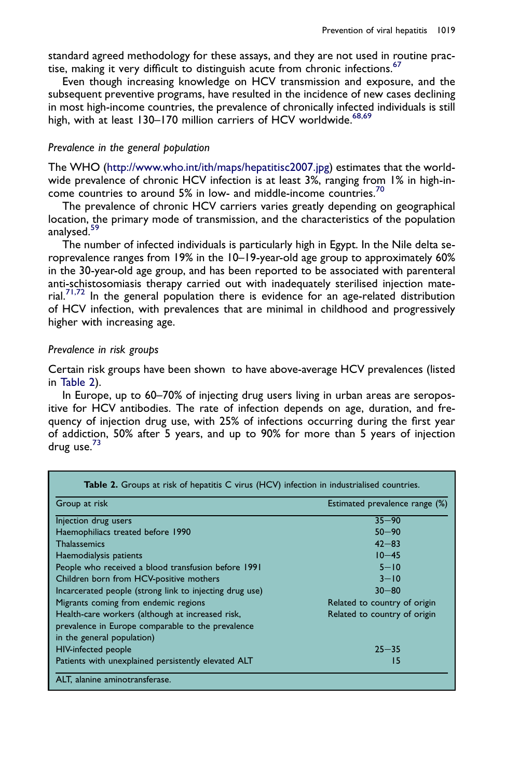standard agreed methodology for these assays, and they are not used in routine prac-tise, making it very difficult to distinguish acute from chronic infections.<sup>[67](#page-19-0)</sup>

Even though increasing knowledge on HCV transmission and exposure, and the subsequent preventive programs, have resulted in the incidence of new cases declining in most high-income countries, the prevalence of chronically infected individuals is still high, with at least 130-170 million carriers of HCV worldwide.<sup>[68,69](#page-19-0)</sup>

#### Prevalence in the general population

The WHO [\(http://www.who.int/ith/maps/hepatitisc2007.jpg](http://www.who.int/ith/maps/hepatitisc2007.jpg)) estimates that the worldwide prevalence of chronic HCV infection is at least 3%, ranging from 1% in high-in-come countries to around 5% in low- and middle-income countries.<sup>[70](#page-19-0)</sup>

The prevalence of chronic HCV carriers varies greatly depending on geographical location, the primary mode of transmission, and the characteristics of the population analysed.<sup>[59](#page-19-0)</sup>

The number of infected individuals is particularly high in Egypt. In the Nile delta seroprevalence ranges from 19% in the 10–19-year-old age group to approximately 60% in the 30-year-old age group, and has been reported to be associated with parenteral anti-schistosomiasis therapy carried out with inadequately sterilised injection material. $7^{1,72}$  In the general population there is evidence for an age-related distribution of HCV infection, with prevalences that are minimal in childhood and progressively higher with increasing age.

#### Prevalence in risk groups

Certain risk groups have been shown to have above-average HCV prevalences (listed in Table 2).

In Europe, up to 60–70% of injecting drug users living in urban areas are seropositive for HCV antibodies. The rate of infection depends on age, duration, and frequency of injection drug use, with 25% of infections occurring during the first year of addiction, 50% after 5 years, and up to 90% for more than 5 years of injection drug use.<sup>[73](#page-20-0)</sup>

| Group at risk                                                                                                                       | Estimated prevalence range (%) |
|-------------------------------------------------------------------------------------------------------------------------------------|--------------------------------|
| Injection drug users                                                                                                                | $35 - 90$                      |
| Haemophiliacs treated before 1990                                                                                                   | $50 - 90$                      |
| <b>Thalassemics</b>                                                                                                                 | $42 - 83$                      |
| Haemodialysis patients                                                                                                              | $10 - 45$                      |
| People who received a blood transfusion before 1991                                                                                 | $5 - 10$                       |
| Children born from HCV-positive mothers                                                                                             | $3 - 10$                       |
| Incarcerated people (strong link to injecting drug use)                                                                             | $30 - 80$                      |
| Migrants coming from endemic regions                                                                                                | Related to country of origin   |
| Health-care workers (although at increased risk,<br>prevalence in Europe comparable to the prevalence<br>in the general population) | Related to country of origin   |
| <b>HIV-infected people</b>                                                                                                          | $25 - 35$                      |
| Patients with unexplained persistently elevated ALT                                                                                 | 15                             |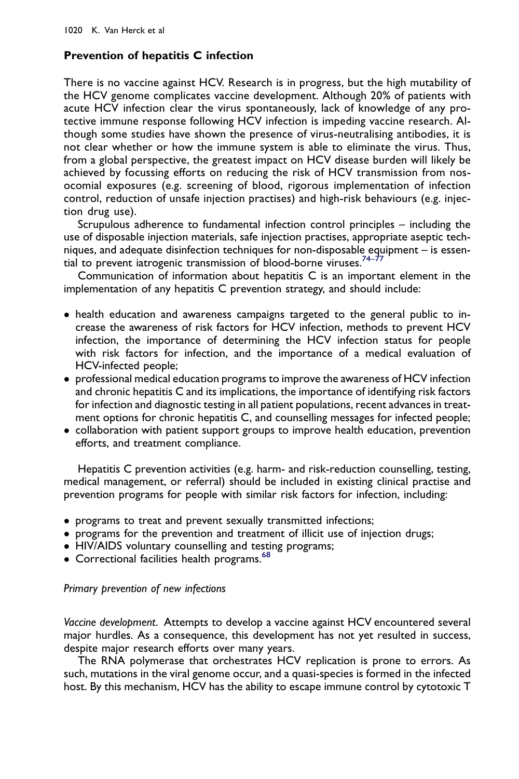# Prevention of hepatitis C infection

There is no vaccine against HCV. Research is in progress, but the high mutability of the HCV genome complicates vaccine development. Although 20% of patients with acute HCV infection clear the virus spontaneously, lack of knowledge of any protective immune response following HCV infection is impeding vaccine research. Although some studies have shown the presence of virus-neutralising antibodies, it is not clear whether or how the immune system is able to eliminate the virus. Thus, from a global perspective, the greatest impact on HCV disease burden will likely be achieved by focussing efforts on reducing the risk of HCV transmission from nosocomial exposures (e.g. screening of blood, rigorous implementation of infection control, reduction of unsafe injection practises) and high-risk behaviours (e.g. injection drug use).

Scrupulous adherence to fundamental infection control principles – including the use of disposable injection materials, safe injection practises, appropriate aseptic techniques, and adequate disinfection techniques for non-disposable equipment – is essen-tial to prevent iatrogenic transmission of blood-borne viruses.<sup>[74–77](#page-20-0)</sup>

Communication of information about hepatitis C is an important element in the implementation of any hepatitis C prevention strategy, and should include:

- health education and awareness campaigns targeted to the general public to increase the awareness of risk factors for HCV infection, methods to prevent HCV infection, the importance of determining the HCV infection status for people with risk factors for infection, and the importance of a medical evaluation of HCV-infected people;
- professional medical education programs to improve the awareness of HCV infection and chronic hepatitis C and its implications, the importance of identifying risk factors for infection and diagnostic testing in all patient populations, recent advances in treatment options for chronic hepatitis C, and counselling messages for infected people;
- collaboration with patient support groups to improve health education, prevention efforts, and treatment compliance.

Hepatitis C prevention activities (e.g. harm- and risk-reduction counselling, testing, medical management, or referral) should be included in existing clinical practise and prevention programs for people with similar risk factors for infection, including:

- programs to treat and prevent sexually transmitted infections;
- programs for the prevention and treatment of illicit use of injection drugs;
- HIV/AIDS voluntary counselling and testing programs;
- Correctional facilities health programs.<sup>[68](#page-19-0)</sup>

#### Primary prevention of new infections

Vaccine development. Attempts to develop a vaccine against HCV encountered several major hurdles. As a consequence, this development has not yet resulted in success, despite major research efforts over many years.

The RNA polymerase that orchestrates HCV replication is prone to errors. As such, mutations in the viral genome occur, and a quasi-species is formed in the infected host. By this mechanism, HCV has the ability to escape immune control by cytotoxic T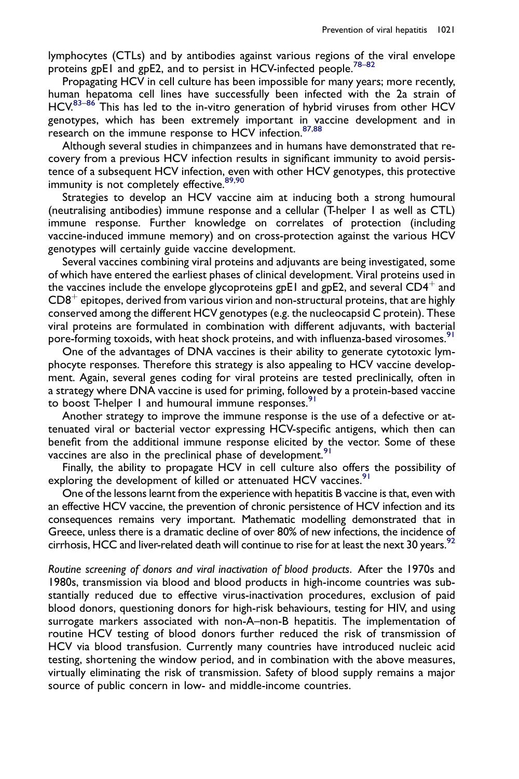lymphocytes (CTLs) and by antibodies against various regions of the viral envelope proteins gpE1 and gpE2, and to persist in HCV-infected people.<sup>78-82</sup>

Propagating HCV in cell culture has been impossible for many years; more recently, human hepatoma cell lines have successfully been infected with the 2a strain of HCV.<sup>[83–86](#page-20-0)</sup> This has led to the in-vitro generation of hybrid viruses from other HCV genotypes, which has been extremely important in vaccine development and in research on the immune response to HCV infection.<sup>[87,88](#page-20-0)</sup>

Although several studies in chimpanzees and in humans have demonstrated that recovery from a previous HCV infection results in significant immunity to avoid persistence of a subsequent HCV infection, even with other HCV genotypes, this protective immunity is not completely effective. [89,90](#page-20-0)

Strategies to develop an HCV vaccine aim at inducing both a strong humoural (neutralising antibodies) immune response and a cellular (T-helper 1 as well as CTL) immune response. Further knowledge on correlates of protection (including vaccine-induced immune memory) and on cross-protection against the various HCV genotypes will certainly guide vaccine development.

Several vaccines combining viral proteins and adjuvants are being investigated, some of which have entered the earliest phases of clinical development. Viral proteins used in the vaccines include the envelope glycoproteins gpE1 and gpE2, and several  $CD4^+$  and  $CD8^+$  epitopes, derived from various virion and non-structural proteins, that are highly conserved among the different HCV genotypes (e.g. the nucleocapsid C protein). These viral proteins are formulated in combination with different adjuvants, with bacterial pore-forming toxoids, with heat shock proteins, and with influenza-based virosomes.<sup>[91](#page-20-0)</sup>

One of the advantages of DNA vaccines is their ability to generate cytotoxic lymphocyte responses. Therefore this strategy is also appealing to HCV vaccine development. Again, several genes coding for viral proteins are tested preclinically, often in a strategy where DNA vaccine is used for priming, followed by a protein-based vaccine to boost T-helper 1 and humoural immune responses.<sup>[91](#page-20-0)</sup>

Another strategy to improve the immune response is the use of a defective or attenuated viral or bacterial vector expressing HCV-specific antigens, which then can benefit from the additional immune response elicited by the vector. Some of these vaccines are also in the preclinical phase of development.<sup>[91](#page-20-0)</sup>

Finally, the ability to propagate HCV in cell culture also offers the possibility of exploring the development of killed or attenuated HCV vaccines.<sup>91</sup>

One of the lessons learnt from the experience with hepatitis B vaccine is that, even with an effective HCV vaccine, the prevention of chronic persistence of HCV infection and its consequences remains very important. Mathematic modelling demonstrated that in Greece, unless there is a dramatic decline of over 80% of new infections, the incidence of cirrhosis, HCC and liver-related death will continue to rise for at least the next 30 years.<sup>92</sup>

Routine screening of donors and viral inactivation of blood products. After the 1970s and 1980s, transmission via blood and blood products in high-income countries was substantially reduced due to effective virus-inactivation procedures, exclusion of paid blood donors, questioning donors for high-risk behaviours, testing for HIV, and using surrogate markers associated with non-A–non-B hepatitis. The implementation of routine HCV testing of blood donors further reduced the risk of transmission of HCV via blood transfusion. Currently many countries have introduced nucleic acid testing, shortening the window period, and in combination with the above measures, virtually eliminating the risk of transmission. Safety of blood supply remains a major source of public concern in low- and middle-income countries.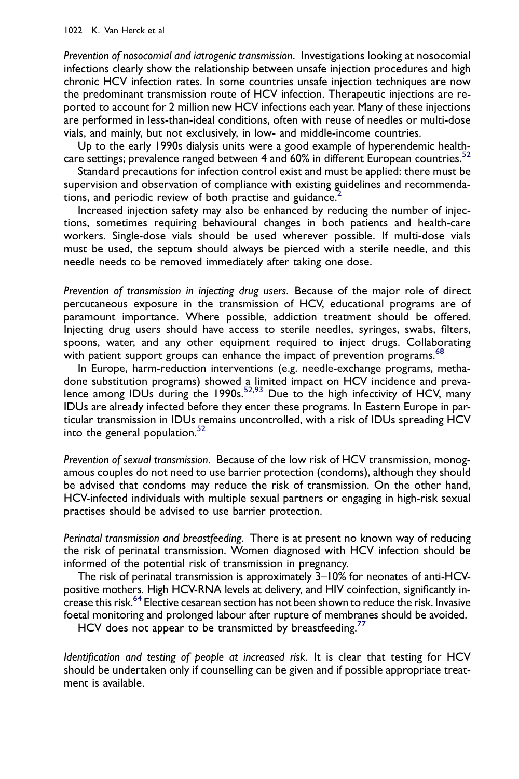Prevention of nosocomial and iatrogenic transmission. Investigations looking at nosocomial infections clearly show the relationship between unsafe injection procedures and high chronic HCV infection rates. In some countries unsafe injection techniques are now the predominant transmission route of HCV infection. Therapeutic injections are reported to account for 2 million new HCV infections each year. Many of these injections are performed in less-than-ideal conditions, often with reuse of needles or multi-dose vials, and mainly, but not exclusively, in low- and middle-income countries.

Up to the early 1990s dialysis units were a good example of hyperendemic health-care settings; prevalence ranged between 4 and 60% in different European countries.<sup>[52](#page-19-0)</sup>

Standard precautions for infection control exist and must be applied: there must be supervision and observation of compliance with existing guidelines and recommendations, and periodic review of both practise and guidance.<sup>4</sup>

Increased injection safety may also be enhanced by reducing the number of injections, sometimes requiring behavioural changes in both patients and health-care workers. Single-dose vials should be used wherever possible. If multi-dose vials must be used, the septum should always be pierced with a sterile needle, and this needle needs to be removed immediately after taking one dose.

Prevention of transmission in injecting drug users. Because of the major role of direct percutaneous exposure in the transmission of HCV, educational programs are of paramount importance. Where possible, addiction treatment should be offered. Injecting drug users should have access to sterile needles, syringes, swabs, filters, spoons, water, and any other equipment required to inject drugs. Collaborating with patient support groups can enhance the impact of prevention programs.<sup>[68](#page-19-0)</sup>

In Europe, harm-reduction interventions (e.g. needle-exchange programs, methadone substitution programs) showed a limited impact on HCV incidence and preva-lence among IDUs during the 1990s.<sup>[52,93](#page-19-0)</sup> Due to the high infectivity of HCV, many IDUs are already infected before they enter these programs. In Eastern Europe in particular transmission in IDUs remains uncontrolled, with a risk of IDUs spreading HCV into the general population. $52$ 

Prevention of sexual transmission. Because of the low risk of HCV transmission, monogamous couples do not need to use barrier protection (condoms), although they should be advised that condoms may reduce the risk of transmission. On the other hand, HCV-infected individuals with multiple sexual partners or engaging in high-risk sexual practises should be advised to use barrier protection.

Perinatal transmission and breastfeeding. There is at present no known way of reducing the risk of perinatal transmission. Women diagnosed with HCV infection should be informed of the potential risk of transmission in pregnancy.

The risk of perinatal transmission is approximately 3–10% for neonates of anti-HCVpositive mothers. High HCV-RNA levels at delivery, and HIV coinfection, significantly increase this risk[.64](#page-19-0) Elective cesarean section has not been shown to reduce the risk. Invasive foetal monitoring and prolonged labour after rupture of membranes should be avoided.

HCV does not appear to be transmitted by breastfeeding.<sup>[77](#page-20-0)</sup>

Identification and testing of people at increased risk. It is clear that testing for HCV should be undertaken only if counselling can be given and if possible appropriate treatment is available.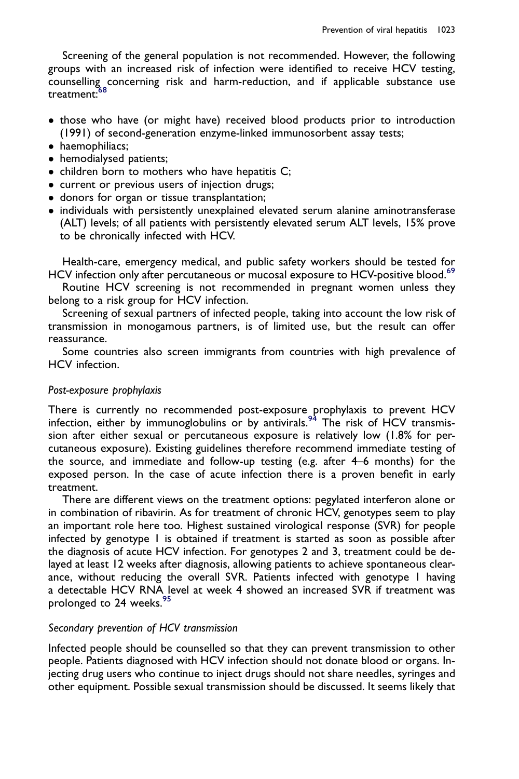Screening of the general population is not recommended. However, the following groups with an increased risk of infection were identified to receive HCV testing, counselling concerning risk and harm-reduction, and if applicable substance use treatment.<sup>[68](#page-19-0)</sup>

- those who have (or might have) received blood products prior to introduction (1991) of second-generation enzyme-linked immunosorbent assay tests;
- haemophiliacs;
- hemodialysed patients;
- children born to mothers who have hepatitis C;
- current or previous users of injection drugs;
- donors for organ or tissue transplantation;
- individuals with persistently unexplained elevated serum alanine aminotransferase (ALT) levels; of all patients with persistently elevated serum ALT levels, 15% prove to be chronically infected with HCV.

Health-care, emergency medical, and public safety workers should be tested for HCV infection only after percutaneous or mucosal exposure to HCV-positive blood.<sup>[69](#page-19-0)</sup>

Routine HCV screening is not recommended in pregnant women unless they belong to a risk group for HCV infection.

Screening of sexual partners of infected people, taking into account the low risk of transmission in monogamous partners, is of limited use, but the result can offer reassurance.

Some countries also screen immigrants from countries with high prevalence of HCV infection.

#### Post-exposure prophylaxis

There is currently no recommended post-exposure prophylaxis to prevent HCV infection, either by immunoglobulins or by antivirals.<sup>[94](#page-20-0)</sup> The risk of HCV transmission after either sexual or percutaneous exposure is relatively low (1.8% for percutaneous exposure). Existing guidelines therefore recommend immediate testing of the source, and immediate and follow-up testing (e.g. after 4–6 months) for the exposed person. In the case of acute infection there is a proven benefit in early treatment.

There are different views on the treatment options: pegylated interferon alone or in combination of ribavirin. As for treatment of chronic HCV, genotypes seem to play an important role here too. Highest sustained virological response (SVR) for people infected by genotype 1 is obtained if treatment is started as soon as possible after the diagnosis of acute HCV infection. For genotypes 2 and 3, treatment could be delayed at least 12 weeks after diagnosis, allowing patients to achieve spontaneous clearance, without reducing the overall SVR. Patients infected with genotype 1 having a detectable HCV RNA level at week 4 showed an increased SVR if treatment was prolonged to 24 weeks.<sup>95</sup>

#### Secondary prevention of HCV transmission

Infected people should be counselled so that they can prevent transmission to other people. Patients diagnosed with HCV infection should not donate blood or organs. Injecting drug users who continue to inject drugs should not share needles, syringes and other equipment. Possible sexual transmission should be discussed. It seems likely that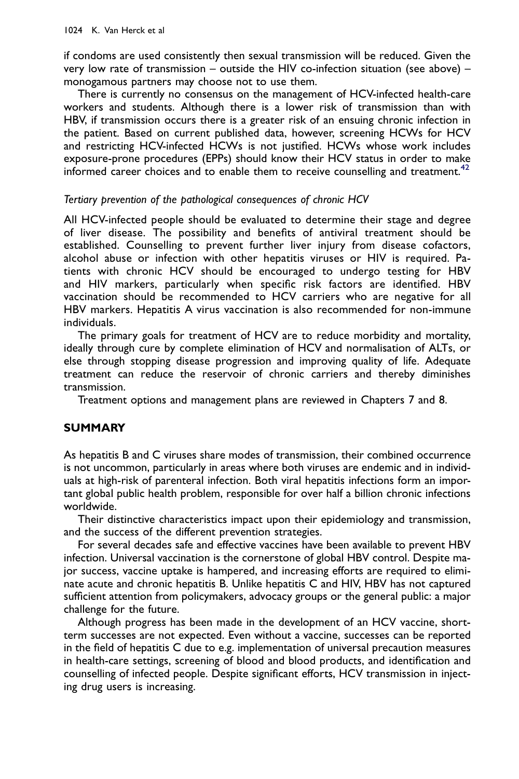if condoms are used consistently then sexual transmission will be reduced. Given the very low rate of transmission – outside the HIV co-infection situation (see above) – monogamous partners may choose not to use them.

There is currently no consensus on the management of HCV-infected health-care workers and students. Although there is a lower risk of transmission than with HBV, if transmission occurs there is a greater risk of an ensuing chronic infection in the patient. Based on current published data, however, screening HCWs for HCV and restricting HCV-infected HCWs is not justified. HCWs whose work includes exposure-prone procedures (EPPs) should know their HCV status in order to make informed career choices and to enable them to receive counselling and treatment.<sup>[42](#page-18-0)</sup>

## Tertiary prevention of the pathological consequences of chronic HCV

All HCV-infected people should be evaluated to determine their stage and degree of liver disease. The possibility and benefits of antiviral treatment should be established. Counselling to prevent further liver injury from disease cofactors, alcohol abuse or infection with other hepatitis viruses or HIV is required. Patients with chronic HCV should be encouraged to undergo testing for HBV and HIV markers, particularly when specific risk factors are identified. HBV vaccination should be recommended to HCV carriers who are negative for all HBV markers. Hepatitis A virus vaccination is also recommended for non-immune individuals.

The primary goals for treatment of HCV are to reduce morbidity and mortality, ideally through cure by complete elimination of HCV and normalisation of ALTs, or else through stopping disease progression and improving quality of life. Adequate treatment can reduce the reservoir of chronic carriers and thereby diminishes transmission.

Treatment options and management plans are reviewed in Chapters 7 and 8.

# **SUMMARY**

As hepatitis B and C viruses share modes of transmission, their combined occurrence is not uncommon, particularly in areas where both viruses are endemic and in individuals at high-risk of parenteral infection. Both viral hepatitis infections form an important global public health problem, responsible for over half a billion chronic infections worldwide.

Their distinctive characteristics impact upon their epidemiology and transmission, and the success of the different prevention strategies.

For several decades safe and effective vaccines have been available to prevent HBV infection. Universal vaccination is the cornerstone of global HBV control. Despite major success, vaccine uptake is hampered, and increasing efforts are required to eliminate acute and chronic hepatitis B. Unlike hepatitis C and HIV, HBV has not captured sufficient attention from policymakers, advocacy groups or the general public: a major challenge for the future.

Although progress has been made in the development of an HCV vaccine, shortterm successes are not expected. Even without a vaccine, successes can be reported in the field of hepatitis C due to e.g. implementation of universal precaution measures in health-care settings, screening of blood and blood products, and identification and counselling of infected people. Despite significant efforts, HCV transmission in injecting drug users is increasing.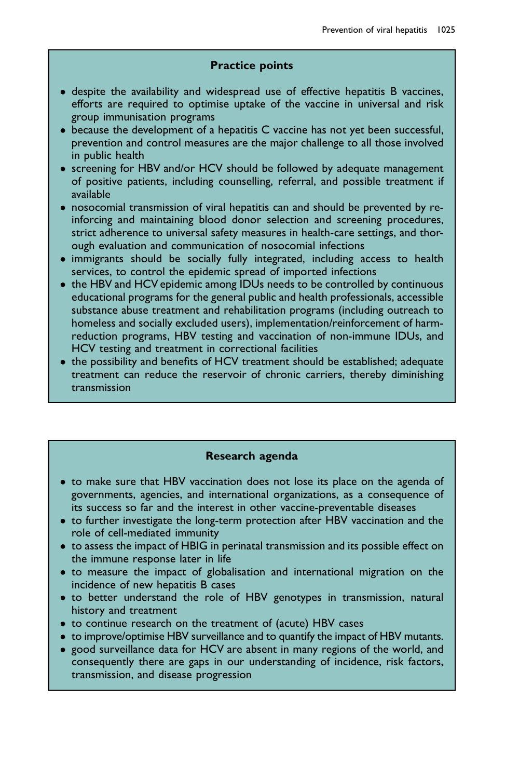#### Practice points

- despite the availability and widespread use of effective hepatitis B vaccines, efforts are required to optimise uptake of the vaccine in universal and risk group immunisation programs
- because the development of a hepatitis C vaccine has not yet been successful, prevention and control measures are the major challenge to all those involved in public health
- screening for HBV and/or HCV should be followed by adequate management of positive patients, including counselling, referral, and possible treatment if available
- nosocomial transmission of viral hepatitis can and should be prevented by reinforcing and maintaining blood donor selection and screening procedures, strict adherence to universal safety measures in health-care settings, and thorough evaluation and communication of nosocomial infections
- immigrants should be socially fully integrated, including access to health services, to control the epidemic spread of imported infections
- the HBV and HCV epidemic among IDUs needs to be controlled by continuous educational programs for the general public and health professionals, accessible substance abuse treatment and rehabilitation programs (including outreach to homeless and socially excluded users), implementation/reinforcement of harmreduction programs, HBV testing and vaccination of non-immune IDUs, and HCV testing and treatment in correctional facilities
- the possibility and benefits of HCV treatment should be established; adequate treatment can reduce the reservoir of chronic carriers, thereby diminishing transmission

#### Research agenda

- to make sure that HBV vaccination does not lose its place on the agenda of governments, agencies, and international organizations, as a consequence of its success so far and the interest in other vaccine-preventable diseases
- to further investigate the long-term protection after HBV vaccination and the role of cell-mediated immunity
- to assess the impact of HBIG in perinatal transmission and its possible effect on the immune response later in life
- to measure the impact of globalisation and international migration on the incidence of new hepatitis B cases
- to better understand the role of HBV genotypes in transmission, natural history and treatment
- to continue research on the treatment of (acute) HBV cases
- to improve/optimise HBV surveillance and to quantify the impact of HBV mutants.
- good surveillance data for HCV are absent in many regions of the world, and consequently there are gaps in our understanding of incidence, risk factors, transmission, and disease progression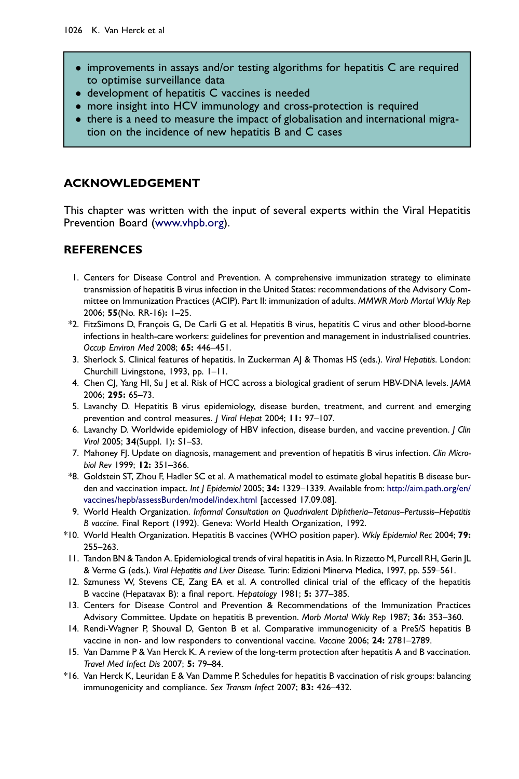- <span id="page-17-0"></span>• improvements in assays and/or testing algorithms for hepatitis C are required to optimise surveillance data
- development of hepatitis C vaccines is needed
- more insight into HCV immunology and cross-protection is required
- there is a need to measure the impact of globalisation and international migration on the incidence of new hepatitis B and C cases

## ACKNOWLEDGEMENT

This chapter was written with the input of several experts within the Viral Hepatitis Prevention Board [\(www.vhpb.org\)](http://www.vhpb.org).

## **REFERENCES**

- 1. Centers for Disease Control and Prevention. A comprehensive immunization strategy to eliminate transmission of hepatitis B virus infection in the United States: recommendations of the Advisory Committee on Immunization Practices (ACIP). Part II: immunization of adults. MMWR Morb Mortal Wkly Rep 2006; 55(No. RR-16): 1–25.
- \*2. FitzSimons D, Franc¸ois G, De Carli G et al. Hepatitis B virus, hepatitis C virus and other blood-borne infections in health-care workers: guidelines for prevention and management in industrialised countries. Occup Environ Med 2008; 65: 446–451.
- 3. Sherlock S. Clinical features of hepatitis. In Zuckerman AJ & Thomas HS (eds.). Viral Hepatitis. London: Churchill Livingstone, 1993, pp. 1–11.
- 4. Chen CJ, Yang HI, Su J et al. Risk of HCC across a biological gradient of serum HBV-DNA levels. JAMA 2006; 295: 65–73.
- 5. Lavanchy D. Hepatitis B virus epidemiology, disease burden, treatment, and current and emerging prevention and control measures. J Viral Hepat 2004; II: 97-107.
- 6. Lavanchy D. Worldwide epidemiology of HBV infection, disease burden, and vaccine prevention. J Clin Virol 2005; 34(Suppl. 1): S1–S3.
- 7. Mahoney FJ. Update on diagnosis, management and prevention of hepatitis B virus infection. Clin Microbiol Rev 1999; 12: 351–366.
- \*8. Goldstein ST, Zhou F, Hadler SC et al. A mathematical model to estimate global hepatitis B disease burden and vaccination impact. Int J Epidemiol 2005; 34: 1329-1339. Available from: [http://aim.path.org/en/](http://aim.path.org/en/vaccines/hepb/assessBurden/model/index.html) [vaccines/hepb/assessBurden/model/index.html](http://aim.path.org/en/vaccines/hepb/assessBurden/model/index.html) [accessed 17.09.08].
- 9. World Health Organization. Informal Consultation on Quadrivalent Diphtheria–Tetanus–Pertussis–Hepatitis B vaccine. Final Report (1992). Geneva: World Health Organization, 1992.
- \*10. World Health Organization. Hepatitis B vaccines (WHO position paper). Wkly Epidemiol Rec 2004; 79: 255–263.
- 11. Tandon BN & Tandon A. Epidemiological trends of viral hepatitis in Asia. In Rizzetto M, Purcell RH, Gerin JL & Verme G (eds.). Viral Hepatitis and Liver Disease. Turin: Edizioni Minerva Medica, 1997, pp. 559–561.
- 12. Szmuness W, Stevens CE, Zang EA et al. A controlled clinical trial of the efficacy of the hepatitis B vaccine (Hepatavax B): a final report. Hepatology 1981; 5: 377–385.
- 13. Centers for Disease Control and Prevention & Recommendations of the Immunization Practices Advisory Committee. Update on hepatitis B prevention. Morb Mortal Wkly Rep 1987; 36: 353–360.
- 14. Rendi-Wagner P, Shouval D, Genton B et al. Comparative immunogenicity of a PreS/S hepatitis B vaccine in non- and low responders to conventional vaccine. Vaccine 2006; 24: 2781–2789.
- 15. Van Damme P & Van Herck K. A review of the long-term protection after hepatitis A and B vaccination. Travel Med Infect Dis 2007; 5: 79–84.
- \*16. Van Herck K, Leuridan E & Van Damme P. Schedules for hepatitis B vaccination of risk groups: balancing immunogenicity and compliance. Sex Transm Infect 2007; 83: 426-432.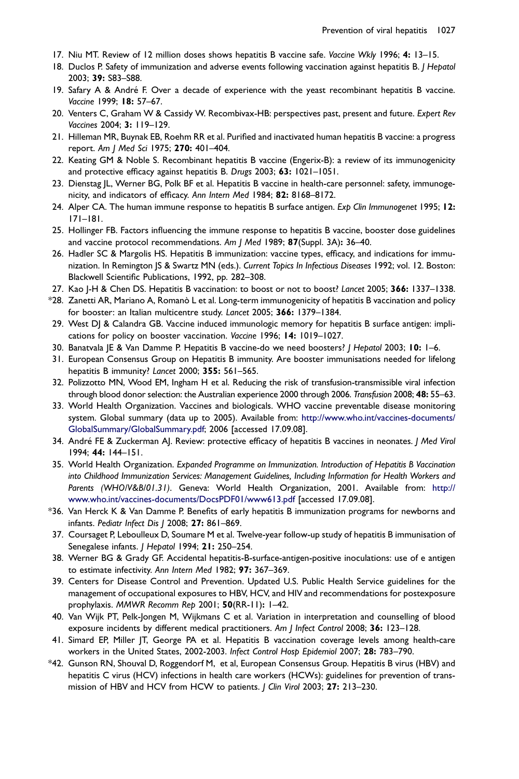- <span id="page-18-0"></span>17. Niu MT. Review of 12 million doses shows hepatitis B vaccine safe. Vaccine Wkly 1996; 4: 13-15.
- 18. Duclos P. Safety of immunization and adverse events following vaccination against hepatitis B. J Hepatol 2003; 39: S83–S88.
- 19. Safary A & André F. Over a decade of experience with the yeast recombinant hepatitis B vaccine. Vaccine 1999; 18: 57–67.
- 20. Venters C, Graham W & Cassidy W. Recombivax-HB: perspectives past, present and future. Expert Rev Vaccines 2004; 3: 119–129.
- 21. Hilleman MR, Buynak EB, Roehm RR et al. Purified and inactivated human hepatitis B vaccine: a progress report. Am J Med Sci 1975; 270: 401–404.
- 22. Keating GM & Noble S. Recombinant hepatitis B vaccine (Engerix-B): a review of its immunogenicity and protective efficacy against hepatitis B. Drugs 2003; 63: 1021–1051.
- 23. Dienstag JL, Werner BG, Polk BF et al. Hepatitis B vaccine in health-care personnel: safety, immunogenicity, and indicators of efficacy. Ann Intern Med 1984; 82: 8168–8172.
- 24. Alper CA. The human immune response to hepatitis B surface antigen. Exp Clin Immunogenet 1995; 12: 171–181.
- 25. Hollinger FB. Factors influencing the immune response to hepatitis B vaccine, booster dose guidelines and vaccine protocol recommendations. Am J Med 1989; 87(Suppl. 3A): 36–40.
- 26. Hadler SC & Margolis HS. Hepatitis B immunization: vaccine types, efficacy, and indications for immunization. In Remington JS & Swartz MN (eds.). Current Topics In Infectious Diseases 1992; vol. 12. Boston: Blackwell Scientific Publications, 1992, pp. 282–308.
- 27. Kao J-H & Chen DS. Hepatitis B vaccination: to boost or not to boost? Lancet 2005; 366: 1337-1338.
- \*28. Zanetti AR, Mariano A, Romano` L et al. Long-term immunogenicity of hepatitis B vaccination and policy for booster: an Italian multicentre study. Lancet 2005; 366: 1379–1384.
- 29. West DJ & Calandra GB. Vaccine induced immunologic memory for hepatitis B surface antigen: implications for policy on booster vaccination. Vaccine 1996; 14: 1019–1027.
- 30. Banatvala JE & Van Damme P. Hepatitis B vaccine-do we need boosters? J Hepatol 2003; 10: 1-6.
- 31. European Consensus Group on Hepatitis B immunity. Are booster immunisations needed for lifelong hepatitis B immunity? Lancet 2000; 355: 561-565.
- 32. Polizzotto MN, Wood EM, Ingham H et al. Reducing the risk of transfusion-transmissible viral infection through blood donor selection: the Australian experience 2000 through 2006. Transfusion 2008; 48: 55-63.
- 33. World Health Organization. Vaccines and biologicals. WHO vaccine preventable disease monitoring system. Global summary (data up to 2005). Available from: [http://www.who.int/vaccines-documents/](http://www.who.int/vaccines-documents/GlobalSummary/GlobalSummary.pdf) [GlobalSummary/GlobalSummary.pdf;](http://www.who.int/vaccines-documents/GlobalSummary/GlobalSummary.pdf) 2006 [accessed 17.09.08].
- 34. André FE & Zuckerman AJ. Review: protective efficacy of hepatitis B vaccines in neonates. J Med Virol 1994; 44: 144–151.
- 35. World Health Organization. Expanded Programme on Immunization. Introduction of Hepatitis B Vaccination into Childhood Immunization Services: Management Guidelines, Including Information for Health Workers and Parents (WHO/V&B/01.31). Geneva: World Health Organization, 2001. Available from: [http://](http://www.who.int/vaccines-documents/DocsPDF01/www613.pdf) [www.who.int/vaccines-documents/DocsPDF01/www613.pdf](http://www.who.int/vaccines-documents/DocsPDF01/www613.pdf) [accessed 17.09.08].
- \*36. Van Herck K & Van Damme P. Benefits of early hepatitis B immunization programs for newborns and infants. Pediatr Infect Dis J 2008; 27: 861–869.
- 37. Coursaget P, Leboulleux D, Soumare M et al. Twelve-year follow-up study of hepatitis B immunisation of Senegalese infants. *J Hepatol* 1994; 21: 250-254.
- 38. Werner BG & Grady GF. Accidental hepatitis-B-surface-antigen-positive inoculations: use of e antigen to estimate infectivity. Ann Intern Med 1982; 97: 367–369.
- 39. Centers for Disease Control and Prevention. Updated U.S. Public Health Service guidelines for the management of occupational exposures to HBV, HCV, and HIV and recommendations for postexposure prophylaxis. MMWR Recomm Rep 2001; 50(RR-11): 1–42.
- 40. Van Wijk PT, Pelk-Jongen M, Wijkmans C et al. Variation in interpretation and counselling of blood exposure incidents by different medical practitioners. Am J Infect Control 2008; 36: 123–128.
- 41. Simard EP, Miller JT, George PA et al. Hepatitis B vaccination coverage levels among health-care workers in the United States, 2002-2003. Infect Control Hosp Epidemiol 2007; 28: 783–790.
- \*42. Gunson RN, Shouval D, Roggendorf M, et al, European Consensus Group. Hepatitis B virus (HBV) and hepatitis C virus (HCV) infections in health care workers (HCWs): guidelines for prevention of transmission of HBV and HCV from HCW to patients. J Clin Virol 2003; 27: 213-230.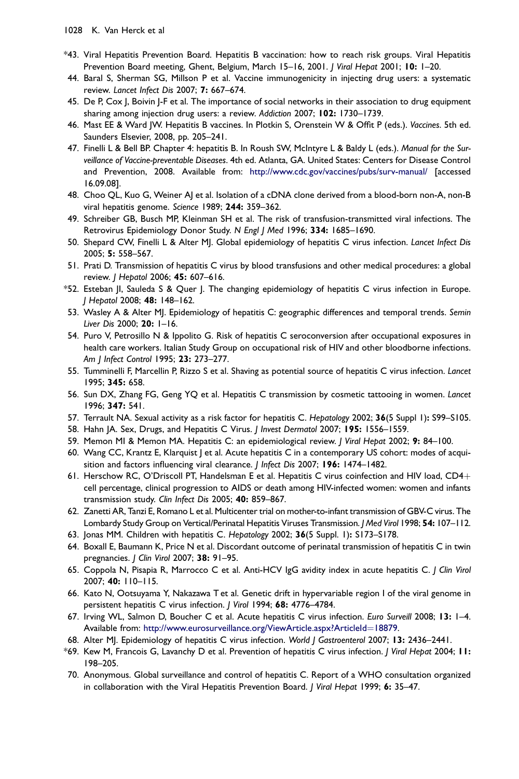- <span id="page-19-0"></span>\*43. Viral Hepatitis Prevention Board. Hepatitis B vaccination: how to reach risk groups. Viral Hepatitis Prevention Board meeting, Ghent, Belgium, March 15–16, 2001. J Viral Hepat 2001; 10: 1–20.
- 44. Baral S, Sherman SG, Millson P et al. Vaccine immunogenicity in injecting drug users: a systematic review. Lancet Infect Dis 2007; 7: 667–674.
- 45. De P, Cox J, Boivin J-F et al. The importance of social networks in their association to drug equipment sharing among injection drug users: a review. Addiction 2007; 102: 1730–1739.
- 46. Mast EE & Ward JW. Hepatitis B vaccines. In Plotkin S, Orenstein W & Offit P (eds.). Vaccines. 5th ed. Saunders Elsevier, 2008, pp. 205–241.
- 47. Finelli L & Bell BP. Chapter 4: hepatitis B. In Roush SW, McIntyre L & Baldy L (eds.). Manual for the Surveillance of Vaccine-preventable Diseases. 4th ed. Atlanta, GA. United States: Centers for Disease Control and Prevention, 2008. Available from: [http://www.cdc.gov/vaccines/pubs/surv-manual/](http://www.cdc.gov/vaccines/pubs/surv-manual) [accessed 16.09.08].
- 48. Choo QL, Kuo G, Weiner AJ et al. Isolation of a cDNA clone derived from a blood-born non-A, non-B viral hepatitis genome. Science 1989; 244: 359–362.
- 49. Schreiber GB, Busch MP, Kleinman SH et al. The risk of transfusion-transmitted viral infections. The Retrovirus Epidemiology Donor Study. N Engl J Med 1996; 334: 1685–1690.
- 50. Shepard CW, Finelli L & Alter MJ. Global epidemiology of hepatitis C virus infection. Lancet Infect Dis 2005; 5: 558–567.
- 51. Prati D. Transmission of hepatitis C virus by blood transfusions and other medical procedures: a global review. J Hepatol 2006; 45: 607–616.
- \*52. Esteban JI, Sauleda S & Quer J. The changing epidemiology of hepatitis C virus infection in Europe. J Hepatol 2008; 48: 148–162.
- 53. Wasley A & Alter MJ. Epidemiology of hepatitis C: geographic differences and temporal trends. Semin Liver Dis 2000; 20: 1–16.
- 54. Puro V, Petrosillo N & Ippolito G. Risk of hepatitis C seroconversion after occupational exposures in health care workers. Italian Study Group on occupational risk of HIV and other bloodborne infections. Am J Infect Control 1995; 23: 273–277.
- 55. Tumminelli F, Marcellin P, Rizzo S et al. Shaving as potential source of hepatitis C virus infection. Lancet 1995; 345: 658.
- 56. Sun DX, Zhang FG, Geng YQ et al. Hepatitis C transmission by cosmetic tattooing in women. Lancet 1996; 347: 541.
- 57. Terrault NA. Sexual activity as a risk factor for hepatitis C. Hepatology 2002; 36(5 Suppl 1): S99–S105.
- 58. Hahn JA. Sex, Drugs, and Hepatitis C Virus. *J Invest Dermatol* 2007; 195: 1556-1559.
- 59. Memon MI & Memon MA. Hepatitis C: an epidemiological review. J Viral Hepat 2002; 9: 84–100.
- 60. Wang CC, Krantz E, Klarquist | et al. Acute hepatitis C in a contemporary US cohort: modes of acquisition and factors influencing viral clearance. *| Infect Dis* 2007; 196: 1474–1482.
- 61. Herschow RC, O'Driscoll PT, Handelsman E et al. Hepatitis C virus coinfection and HIV load, CD4+ cell percentage, clinical progression to AIDS or death among HIV-infected women: women and infants transmission study. Clin Infect Dis 2005; 40: 859–867.
- 62. Zanetti AR, Tanzi E, Romano L et al. Multicenter trial on mother-to-infant transmission of GBV-C virus. The Lombardy Study Group on Vertical/Perinatal Hepatitis Viruses Transmission. | Med Virol 1998; 54: 107-112.
- 63. Jonas MM. Children with hepatitis C. Hepatology 2002; 36(5 Suppl. 1): S173–S178.
- 64. Boxall E, Baumann K, Price N et al. Discordant outcome of perinatal transmission of hepatitis C in twin pregnancies. J Clin Virol 2007; 38: 91–95.
- 65. Coppola N, Pisapia R, Marrocco C et al. Anti-HCV IgG avidity index in acute hepatitis C. J Clin Virol 2007; 40: 110–115.
- 66. Kato N, Ootsuyama Y, Nakazawa T et al. Genetic drift in hypervariable region I of the viral genome in persistent hepatitis C virus infection. | Virol 1994; 68: 4776-4784.
- 67. Irving WL, Salmon D, Boucher C et al. Acute hepatitis C virus infection. Euro Surveill 2008; 13: 1-4. Available from: [http://www.eurosurveillance.org/ViewArticle.aspx?ArticleId](http://www.eurosurveillance.org/ViewArticle.aspx?ArticleId=18879)=18879.
- 68. Alter MJ. Epidemiology of hepatitis C virus infection. World J Gastroenterol 2007; 13: 2436–2441.
- \*69. Kew M, Francois G, Lavanchy D et al. Prevention of hepatitis C virus infection. J Viral Hepat 2004; 11: 198–205.
- 70. Anonymous. Global surveillance and control of hepatitis C. Report of a WHO consultation organized in collaboration with the Viral Hepatitis Prevention Board. J Viral Hepat 1999; 6: 35-47.